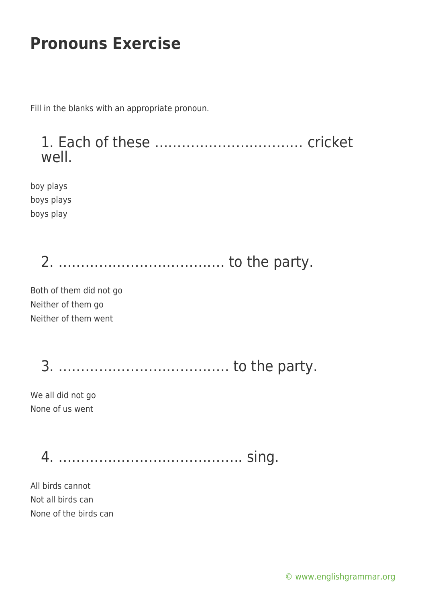Fill in the blanks with an appropriate pronoun.



boy plays boys plays boys play

2. ………………………………. to the party.

Both of them did not go Neither of them go Neither of them went

3. ……………………………….. to the party.

We all did not go None of us went

4. ………………………………….. sing.

All birds cannot Not all birds can None of the birds can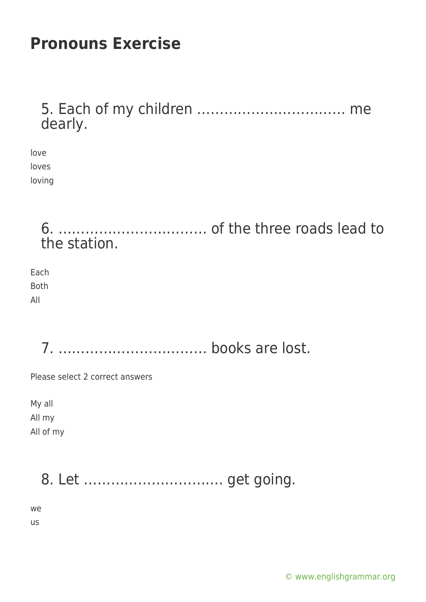5. Each of my children …………………………… me dearly.

love loves loving

> 6. …………………………… of the three roads lead to the station.

Each Both All

7. …………………………… books are lost.

Please select 2 correct answers

My all All my All of my

# 8. Let …………………………. get going.

we

us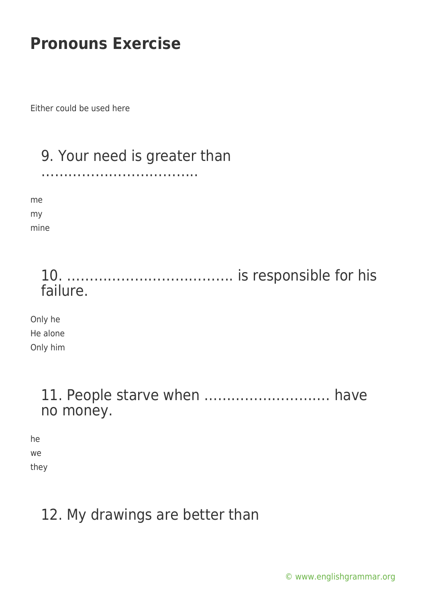Either could be used here

### 9. Your need is greater than

……………………………..

me my mine

#### 10. ………………………………. is responsible for his failure.

Only he He alone Only him

#### 11. People starve when ………………………. have no money.

he we they

## 12. My drawings are better than